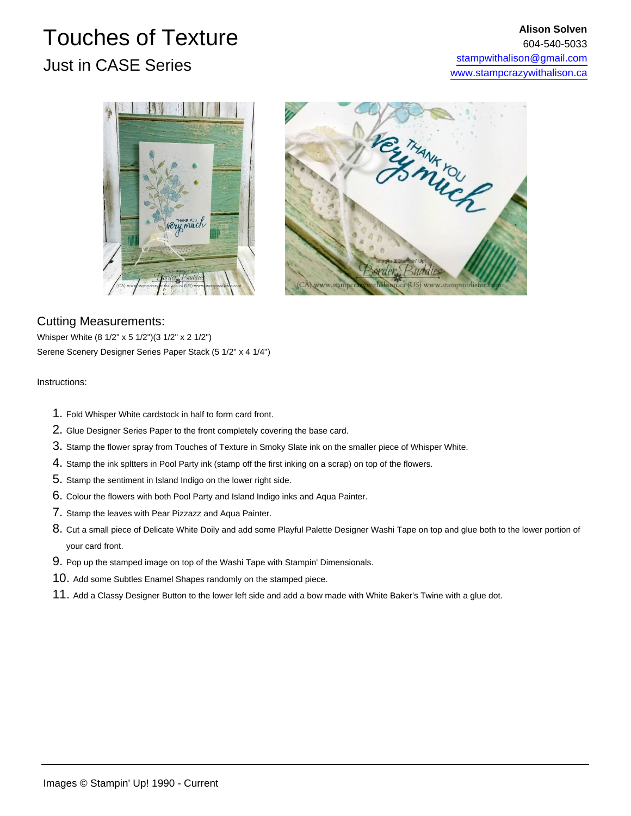## Touches of Texture Just in CASE Series





## Cutting Measurements:

Whisper White (8 1/2" x 5 1/2")(3 1/2" x 2 1/2") Serene Scenery Designer Series Paper Stack (5 1/2" x 4 1/4")

## Instructions:

- 1. Fold Whisper White cardstock in half to form card front.
- 2. Glue Designer Series Paper to the front completely covering the base card.
- 3. Stamp the flower spray from Touches of Texture in Smoky Slate ink on the smaller piece of Whisper White.
- 4. Stamp the ink spltters in Pool Party ink (stamp off the first inking on a scrap) on top of the flowers.
- 5. Stamp the sentiment in Island Indigo on the lower right side.
- 6. Colour the flowers with both Pool Party and Island Indigo inks and Aqua Painter.
- 7. Stamp the leaves with Pear Pizzazz and Aqua Painter.
- 8. Cut a small piece of Delicate White Doily and add some Playful Palette Designer Washi Tape on top and glue both to the lower portion of your card front.
- 9. Pop up the stamped image on top of the Washi Tape with Stampin' Dimensionals.
- 10. Add some Subtles Enamel Shapes randomly on the stamped piece.
- 11. Add a Classy Designer Button to the lower left side and add a bow made with White Baker's Twine with a glue dot.